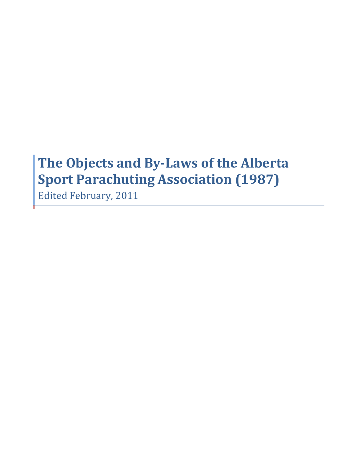# The Objects and By-Laws of the Alberta **Sport Parachuting Association (1987)**

**Edited February, 2011**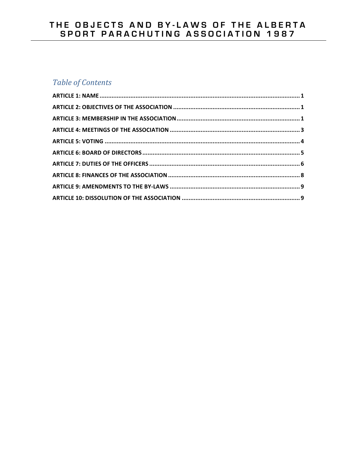# THE OBJECTS AND BY-LAWS OF THE ALBERTA<br>SPORT PARACHUTING ASSOCIATION 1987

# Table of Contents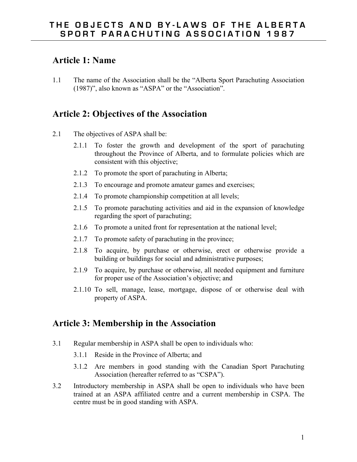### **Article 1: Name**

1.1 The name of the Association shall be the "Alberta Sport Parachuting Association (1987)", also known as "ASPA" or the "Association".

# **Article 2: Objectives of the Association**

- 2.1 The objectives of ASPA shall be:
	- 2.1.1 To foster the growth and development of the sport of parachuting throughout the Province of Alberta, and to formulate policies which are consistent with this objective;
	- 2.1.2 To promote the sport of parachuting in Alberta;
	- 2.1.3 To encourage and promote amateur games and exercises;
	- 2.1.4 To promote championship competition at all levels;
	- 2.1.5 To promote parachuting activities and aid in the expansion of knowledge regarding the sport of parachuting;
	- 2.1.6 To promote a united front for representation at the national level;
	- 2.1.7 To promote safety of parachuting in the province;
	- 2.1.8 To acquire, by purchase or otherwise, erect or otherwise provide a building or buildings for social and administrative purposes;
	- 2.1.9 To acquire, by purchase or otherwise, all needed equipment and furniture for proper use of the Association's objective; and
	- 2.1.10 To sell, manage, lease, mortgage, dispose of or otherwise deal with property of ASPA.

# **Article 3: Membership in the Association**

- 3.1 Regular membership in ASPA shall be open to individuals who:
	- 3.1.1 Reside in the Province of Alberta; and
	- 3.1.2 Are members in good standing with the Canadian Sport Parachuting Association (hereafter referred to as "CSPA").
- 3.2 Introductory membership in ASPA shall be open to individuals who have been trained at an ASPA affiliated centre and a current membership in CSPA. The centre must be in good standing with ASPA.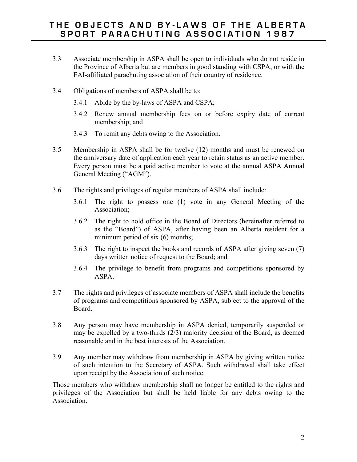- 3.3 Associate membership in ASPA shall be open to individuals who do not reside in the Province of Alberta but are members in good standing with CSPA, or with the FAI-affiliated parachuting association of their country of residence.
- 3.4 Obligations of members of ASPA shall be to:
	- 3.4.1 Abide by the by-laws of ASPA and CSPA;
	- 3.4.2 Renew annual membership fees on or before expiry date of current membership; and
	- 3.4.3 To remit any debts owing to the Association.
- 3.5 Membership in ASPA shall be for twelve (12) months and must be renewed on the anniversary date of application each year to retain status as an active member. Every person must be a paid active member to vote at the annual ASPA Annual General Meeting ("AGM").
- 3.6 The rights and privileges of regular members of ASPA shall include:
	- 3.6.1 The right to possess one (1) vote in any General Meeting of the Association;
	- 3.6.2 The right to hold office in the Board of Directors (hereinafter referred to as the "Board") of ASPA, after having been an Alberta resident for a minimum period of six (6) months;
	- 3.6.3 The right to inspect the books and records of ASPA after giving seven (7) days written notice of request to the Board; and
	- 3.6.4 The privilege to benefit from programs and competitions sponsored by ASPA.
- 3.7 The rights and privileges of associate members of ASPA shall include the benefits of programs and competitions sponsored by ASPA, subject to the approval of the Board.
- 3.8 Any person may have membership in ASPA denied, temporarily suspended or may be expelled by a two-thirds (2/3) majority decision of the Board, as deemed reasonable and in the best interests of the Association.
- 3.9 Any member may withdraw from membership in ASPA by giving written notice of such intention to the Secretary of ASPA. Such withdrawal shall take effect upon receipt by the Association of such notice.

Those members who withdraw membership shall no longer be entitled to the rights and privileges of the Association but shall be held liable for any debts owing to the Association.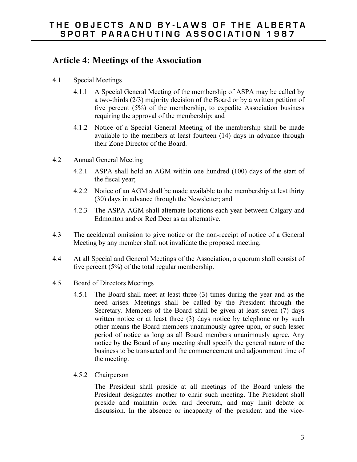#### **Article 4: Meetings of the Association**

- 4.1 Special Meetings
	- 4.1.1 A Special General Meeting of the membership of ASPA may be called by a two-thirds (2/3) majority decision of the Board or by a written petition of five percent (5%) of the membership, to expedite Association business requiring the approval of the membership; and
	- 4.1.2 Notice of a Special General Meeting of the membership shall be made available to the members at least fourteen (14) days in advance through their Zone Director of the Board.
- 4.2 Annual General Meeting
	- 4.2.1 ASPA shall hold an AGM within one hundred (100) days of the start of the fiscal year;
	- 4.2.2 Notice of an AGM shall be made available to the membership at lest thirty (30) days in advance through the Newsletter; and
	- 4.2.3 The ASPA AGM shall alternate locations each year between Calgary and Edmonton and/or Red Deer as an alternative.
- 4.3 The accidental omission to give notice or the non-receipt of notice of a General Meeting by any member shall not invalidate the proposed meeting.
- 4.4 At all Special and General Meetings of the Association, a quorum shall consist of five percent (5%) of the total regular membership.
- 4.5 Board of Directors Meetings
	- 4.5.1 The Board shall meet at least three (3) times during the year and as the need arises. Meetings shall be called by the President through the Secretary. Members of the Board shall be given at least seven (7) days written notice or at least three (3) days notice by telephone or by such other means the Board members unanimously agree upon, or such lesser period of notice as long as all Board members unanimously agree. Any notice by the Board of any meeting shall specify the general nature of the business to be transacted and the commencement and adjournment time of the meeting.
	- 4.5.2 Chairperson

The President shall preside at all meetings of the Board unless the President designates another to chair such meeting. The President shall preside and maintain order and decorum, and may limit debate or discussion. In the absence or incapacity of the president and the vice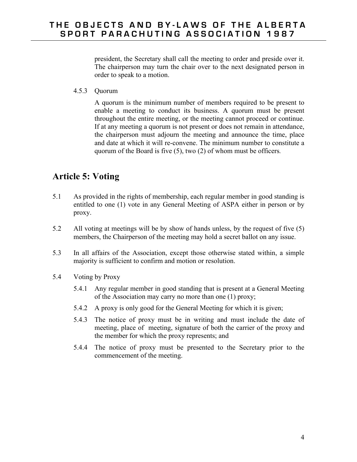president, the Secretary shall call the meeting to order and preside over it. The chairperson may turn the chair over to the next designated person in order to speak to a motion.

4.5.3 Quorum

A quorum is the minimum number of members required to be present to enable a meeting to conduct its business. A quorum must be present throughout the entire meeting, or the meeting cannot proceed or continue. If at any meeting a quorum is not present or does not remain in attendance, the chairperson must adjourn the meeting and announce the time, place and date at which it will re-convene. The minimum number to constitute a quorum of the Board is five (5), two (2) of whom must be officers*.*

# **Article 5: Voting**

- 5.1 As provided in the rights of membership, each regular member in good standing is entitled to one (1) vote in any General Meeting of ASPA either in person or by proxy.
- 5.2 All voting at meetings will be by show of hands unless, by the request of five (5) members, the Chairperson of the meeting may hold a secret ballot on any issue.
- 5.3 In all affairs of the Association, except those otherwise stated within, a simple majority is sufficient to confirm and motion or resolution.
- 5.4 Voting by Proxy
	- 5.4.1 Any regular member in good standing that is present at a General Meeting of the Association may carry no more than one (1) proxy;
	- 5.4.2 A proxy is only good for the General Meeting for which it is given;
	- 5.4.3 The notice of proxy must be in writing and must include the date of meeting, place of meeting, signature of both the carrier of the proxy and the member for which the proxy represents; and
	- 5.4.4 The notice of proxy must be presented to the Secretary prior to the commencement of the meeting.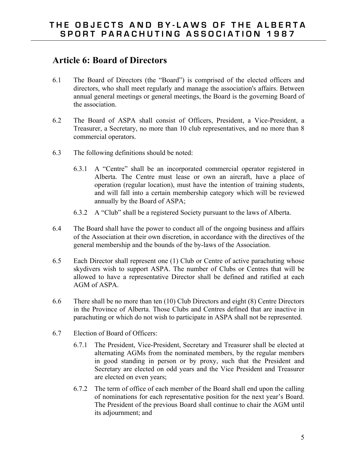# **Article 6: Board of Directors**

- 6.1 The Board of Directors (the "Board") is comprised of the elected officers and directors, who shall meet regularly and manage the association's affairs. Between annual general meetings or general meetings, the Board is the governing Board of the association.
- 6.2 The Board of ASPA shall consist of Officers, President, a Vice-President, a Treasurer, a Secretary, no more than 10 club representatives, and no more than 8 commercial operators.
- 6.3 The following definitions should be noted:
	- 6.3.1 A "Centre" shall be an incorporated commercial operator registered in Alberta. The Centre must lease or own an aircraft, have a place of operation (regular location), must have the intention of training students, and will fall into a certain membership category which will be reviewed annually by the Board of ASPA;
	- 6.3.2 A "Club" shall be a registered Society pursuant to the laws of Alberta.
- 6.4 The Board shall have the power to conduct all of the ongoing business and affairs of the Association at their own discretion, in accordance with the directives of the general membership and the bounds of the by-laws of the Association.
- 6.5 Each Director shall represent one (1) Club or Centre of active parachuting whose skydivers wish to support ASPA. The number of Clubs or Centres that will be allowed to have a representative Director shall be defined and ratified at each AGM of ASPA.
- 6.6 There shall be no more than ten (10) Club Directors and eight (8) Centre Directors in the Province of Alberta. Those Clubs and Centres defined that are inactive in parachuting or which do not wish to participate in ASPA shall not be represented.
- 6.7 Election of Board of Officers:
	- 6.7.1 The President, Vice-President, Secretary and Treasurer shall be elected at alternating AGMs from the nominated members, by the regular members in good standing in person or by proxy, such that the President and Secretary are elected on odd years and the Vice President and Treasurer are elected on even years;
	- 6.7.2 The term of office of each member of the Board shall end upon the calling of nominations for each representative position for the next year's Board. The President of the previous Board shall continue to chair the AGM until its adjournment; and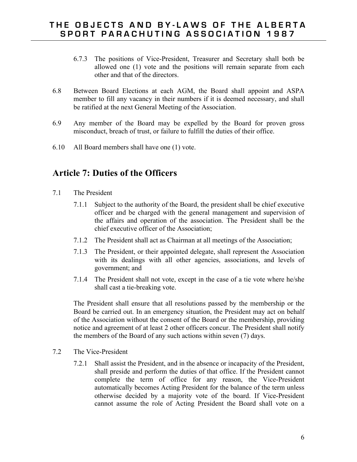- 6.7.3 The positions of Vice-President, Treasurer and Secretary shall both be allowed one (1) vote and the positions will remain separate from each other and that of the directors.
- 6.8 Between Board Elections at each AGM, the Board shall appoint and ASPA member to fill any vacancy in their numbers if it is deemed necessary, and shall be ratified at the next General Meeting of the Association.
- 6.9 Any member of the Board may be expelled by the Board for proven gross misconduct, breach of trust, or failure to fulfill the duties of their office.
- 6.10 All Board members shall have one (1) vote.

# **Article 7: Duties of the Officers**

- 7.1 The President
	- 7.1.1 Subject to the authority of the Board, the president shall be chief executive officer and be charged with the general management and supervision of the affairs and operation of the association. The President shall be the chief executive officer of the Association;
	- 7.1.2 The President shall act as Chairman at all meetings of the Association;
	- 7.1.3 The President, or their appointed delegate, shall represent the Association with its dealings with all other agencies, associations, and levels of government; and
	- 7.1.4 The President shall not vote, except in the case of a tie vote where he/she shall cast a tie-breaking vote.

The President shall ensure that all resolutions passed by the membership or the Board be carried out. In an emergency situation, the President may act on behalf of the Association without the consent of the Board or the membership, providing notice and agreement of at least 2 other officers concur. The President shall notify the members of the Board of any such actions within seven (7) days.

- 7.2 The Vice-President
	- 7.2.1 Shall assist the President, and in the absence or incapacity of the President, shall preside and perform the duties of that office. If the President cannot complete the term of office for any reason, the Vice-President automatically becomes Acting President for the balance of the term unless otherwise decided by a majority vote of the board. If Vice-President cannot assume the role of Acting President the Board shall vote on a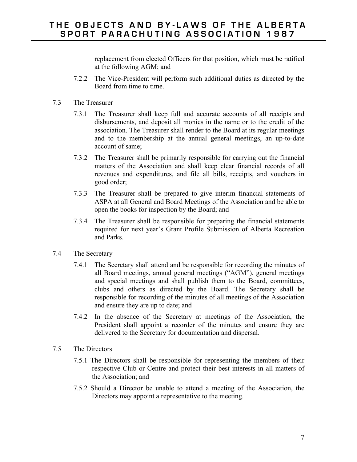replacement from elected Officers for that position, which must be ratified at the following AGM; and

- 7.2.2 The Vice-President will perform such additional duties as directed by the Board from time to time.
- 7.3 The Treasurer
	- 7.3.1 The Treasurer shall keep full and accurate accounts of all receipts and disbursements, and deposit all monies in the name or to the credit of the association. The Treasurer shall render to the Board at its regular meetings and to the membership at the annual general meetings, an up-to-date account of same;
	- 7.3.2 The Treasurer shall be primarily responsible for carrying out the financial matters of the Association and shall keep clear financial records of all revenues and expenditures, and file all bills, receipts, and vouchers in good order;
	- 7.3.3 The Treasurer shall be prepared to give interim financial statements of ASPA at all General and Board Meetings of the Association and be able to open the books for inspection by the Board; and
	- 7.3.4 The Treasurer shall be responsible for preparing the financial statements required for next year's Grant Profile Submission of Alberta Recreation and Parks.
- 7.4 The Secretary
	- 7.4.1 The Secretary shall attend and be responsible for recording the minutes of all Board meetings, annual general meetings ("AGM"), general meetings and special meetings and shall publish them to the Board, committees, clubs and others as directed by the Board. The Secretary shall be responsible for recording of the minutes of all meetings of the Association and ensure they are up to date; and
	- 7.4.2 In the absence of the Secretary at meetings of the Association, the President shall appoint a recorder of the minutes and ensure they are delivered to the Secretary for documentation and dispersal.
- 7.5 The Directors
	- 7.5.1 The Directors shall be responsible for representing the members of their respective Club or Centre and protect their best interests in all matters of the Association; and
	- 7.5.2 Should a Director be unable to attend a meeting of the Association, the Directors may appoint a representative to the meeting.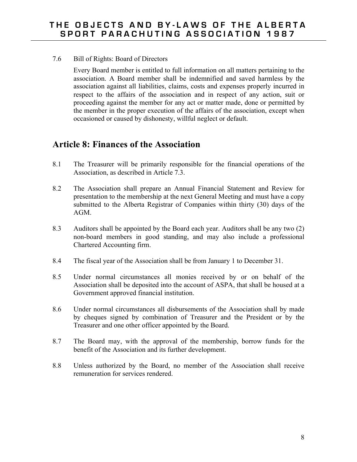7.6 Bill of Rights: Board of Directors

Every Board member is entitled to full information on all matters pertaining to the association. A Board member shall be indemnified and saved harmless by the association against all liabilities, claims, costs and expenses properly incurred in respect to the affairs of the association and in respect of any action, suit or proceeding against the member for any act or matter made, done or permitted by the member in the proper execution of the affairs of the association, except when occasioned or caused by dishonesty, willful neglect or default.

# **Article 8: Finances of the Association**

- 8.1 The Treasurer will be primarily responsible for the financial operations of the Association, as described in Article 7.3.
- 8.2 The Association shall prepare an Annual Financial Statement and Review for presentation to the membership at the next General Meeting and must have a copy submitted to the Alberta Registrar of Companies within thirty (30) days of the AGM.
- 8.3 Auditors shall be appointed by the Board each year. Auditors shall be any two (2) non-board members in good standing, and may also include a professional Chartered Accounting firm.
- 8.4 The fiscal year of the Association shall be from January 1 to December 31.
- 8.5 Under normal circumstances all monies received by or on behalf of the Association shall be deposited into the account of ASPA, that shall be housed at a Government approved financial institution.
- 8.6 Under normal circumstances all disbursements of the Association shall by made by cheques signed by combination of Treasurer and the President or by the Treasurer and one other officer appointed by the Board.
- 8.7 The Board may, with the approval of the membership, borrow funds for the benefit of the Association and its further development.
- 8.8 Unless authorized by the Board, no member of the Association shall receive remuneration for services rendered.